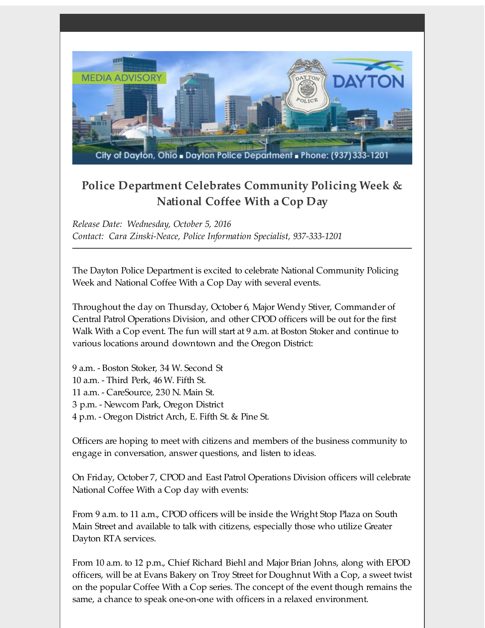

## **Police Department Celebrates Community Policing Week & National Coffee With a Cop Day**

*Release Date: Wednesday, October 5, 2016 Contact: Cara Zinski-Neace, Police Information Specialist, 937-333-1201*

The Dayton Police Department is excited to celebrate National Community Policing Week and National Coffee With a Cop Day with several events.

Throughout the day on Thursday, October 6, Major Wendy Stiver, Commander of Central Patrol Operations Division, and other CPOD officers will be out for the first Walk With a Cop event. The fun will start at 9 a.m. at Boston Stoker and continue to various locations around downtown and the Oregon District:

 a.m. - Boston Stoker, 34 W. Second St a.m. - Third Perk, 46 W. Fifth St. a.m. - CareSource, 230 N. Main St. p.m. - Newcom Park, Oregon District p.m. - Oregon District Arch, E. Fifth St. & Pine St.

Officers are hoping to meet with citizens and members of the business community to engage in conversation, answer questions, and listen to ideas.

On Friday, October 7, CPOD and East Patrol Operations Division officers will celebrate National Coffee With a Cop day with events:

From 9 a.m. to 11 a.m., CPOD officers will be inside the Wright Stop Plaza on South Main Street and available to talk with citizens, especially those who utilize Greater Dayton RTA services.

From 10 a.m. to 12 p.m., Chief Richard Biehl and Major Brian Johns, along with EPOD officers, will be at Evans Bakery on Troy Street for Doughnut With a Cop, a sweet twist on the popular Coffee With a Cop series. The concept of the event though remains the same, a chance to speak one-on-one with officers in a relaxed environment.